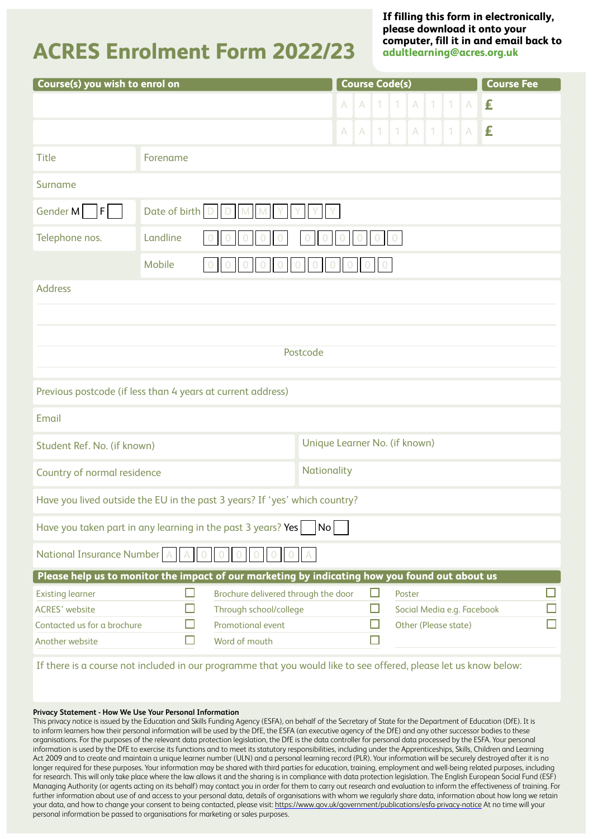## **ACRES Enrolment Form 2022/23**

**If filling this form in electronically, please download it onto your computer, fill it in and email back to [adultlearning@acres.org.uk](mailto:adultlearning@acres.org.uk)**

| Course(s) you wish to enrol on                                                                                   |                      |                                     |              |              | <b>Course Code(s)</b> |              |                      |                        |                |              | <b>Course Fee</b>          |
|------------------------------------------------------------------------------------------------------------------|----------------------|-------------------------------------|--------------|--------------|-----------------------|--------------|----------------------|------------------------|----------------|--------------|----------------------------|
|                                                                                                                  |                      |                                     | $\mathsf{A}$ | $\mathsf{A}$ | $\mathbf{1}$          | $\mathbf{1}$ | A                    | $\left  \cdot \right $ | $\overline{1}$ | A            | £                          |
|                                                                                                                  |                      |                                     | A.           | A            | 1.                    | 1.           | A                    | 1                      | 1              | $\mathsf{A}$ | £                          |
| <b>Title</b>                                                                                                     | Forename             |                                     |              |              |                       |              |                      |                        |                |              |                            |
| Surname                                                                                                          |                      |                                     |              |              |                       |              |                      |                        |                |              |                            |
| Gender M<br>F                                                                                                    | Date of birth $\Box$ |                                     |              |              |                       |              |                      |                        |                |              |                            |
| Telephone nos.                                                                                                   | Landline             |                                     |              |              |                       |              |                      |                        |                |              |                            |
| <b>Mobile</b>                                                                                                    |                      |                                     |              |              |                       |              |                      |                        |                |              |                            |
| <b>Address</b>                                                                                                   |                      |                                     |              |              |                       |              |                      |                        |                |              |                            |
|                                                                                                                  |                      |                                     |              |              |                       |              |                      |                        |                |              |                            |
|                                                                                                                  |                      |                                     |              |              |                       |              |                      |                        |                |              |                            |
|                                                                                                                  |                      |                                     | Postcode     |              |                       |              |                      |                        |                |              |                            |
| Previous postcode (if less than 4 years at current address)                                                      |                      |                                     |              |              |                       |              |                      |                        |                |              |                            |
| Email                                                                                                            |                      |                                     |              |              |                       |              |                      |                        |                |              |                            |
| Student Ref. No. (if known)                                                                                      |                      | Unique Learner No. (if known)       |              |              |                       |              |                      |                        |                |              |                            |
| Nationality<br>Country of normal residence                                                                       |                      |                                     |              |              |                       |              |                      |                        |                |              |                            |
| Have you lived outside the EU in the past 3 years? If 'yes' which country?                                       |                      |                                     |              |              |                       |              |                      |                        |                |              |                            |
| Have you taken part in any learning in the past 3 years? Yes                                                     |                      |                                     | No           |              |                       |              |                      |                        |                |              |                            |
| National Insurance Number   A                                                                                    |                      |                                     |              |              |                       |              |                      |                        |                |              |                            |
| Please help us to monitor the impact of our marketing by indicating how you found out about us                   |                      |                                     |              |              |                       |              |                      |                        |                |              |                            |
| <b>Existing learner</b>                                                                                          | П                    | Brochure delivered through the door |              |              | $\Box$                |              | Poster               |                        |                |              |                            |
| <b>ACRES' website</b>                                                                                            |                      | Through school/college              |              |              | $\Box$                |              |                      |                        |                |              | Social Media e.g. Facebook |
| Contacted us for a brochure                                                                                      |                      | Promotional event                   |              |              |                       |              | Other (Please state) |                        |                |              |                            |
| Another website                                                                                                  |                      | Word of mouth                       |              |              | П                     |              |                      |                        |                |              |                            |
| If there is a course not included in our programme that you would like to see offered, please let us know below: |                      |                                     |              |              |                       |              |                      |                        |                |              |                            |

### **Privacy Statement - How We Use Your Personal Information**

This privacy notice is issued by the Education and Skills Funding Agency (ESFA), on behalf of the Secretary of State for the Department of Education (DfE). It is to inform learners how their personal information will be used by the DfE, the ESFA (an executive agency of the DfE) and any other successor bodies to these organisations. For the purposes of the relevant data protection legislation, the DfE is the data controller for personal data processed by the ESFA. Your personal information is used by the DfE to exercise its functions and to meet its statutory responsibilities, including under the Apprenticeships, Skills, Children and Learning Act 2009 and to create and maintain a unique learner number (ULN) and a personal learning record (PLR). Your information will be securely destroyed after it is no longer required for these purposes. Your information may be shared with third parties for education, training, employment and well-being related purposes, including for research. This will only take place where the law allows it and the sharing is in compliance with data protection legislation. The English European Social Fund (ESF) Managing Authority (or agents acting on its behalf) may contact you in order for them to carry out research and evaluation to inform the effectiveness of training. For further information about use of and access to your personal data, details of organisations with whom we regularly share data, information about how long we retain your data, and how to change your consent to being contacted, please visit:<https://www.gov.uk/government/publications/esfa-privacy-notice>At no time will your personal information be passed to organisations for marketing or sales purposes.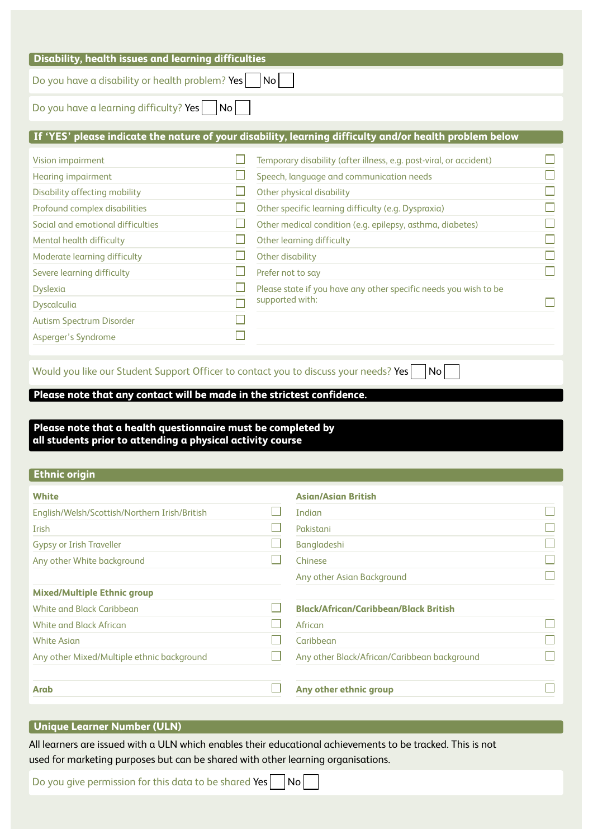| Do you have a disability or health problem? Yes                                                                                                                                                                                                 |        | No                                                                                                                                                                                                                                                                                                                                    |   |
|-------------------------------------------------------------------------------------------------------------------------------------------------------------------------------------------------------------------------------------------------|--------|---------------------------------------------------------------------------------------------------------------------------------------------------------------------------------------------------------------------------------------------------------------------------------------------------------------------------------------|---|
| Do you have a learning difficulty? Yes                                                                                                                                                                                                          | No     |                                                                                                                                                                                                                                                                                                                                       |   |
|                                                                                                                                                                                                                                                 |        | If 'YES' please indicate the nature of your disability, learning difficulty and/or health problem below                                                                                                                                                                                                                               |   |
| Vision impairment<br><b>Hearing impairment</b><br>Disability affecting mobility<br>Profound complex disabilities<br>Social and emotional difficulties<br>Mental health difficulty<br>Moderate learning difficulty<br>Severe learning difficulty | H<br>ப | Temporary disability (after illness, e.g. post-viral, or accident)<br>Speech, language and communication needs<br>Other physical disability<br>Other specific learning difficulty (e.g. Dyspraxia)<br>Other medical condition (e.g. epilepsy, asthma, diabetes)<br>Other learning difficulty<br>Other disability<br>Prefer not to say | Г |
| Dyslexia<br>Dyscalculia<br><b>Autism Spectrum Disorder</b><br>Asperger's Syndrome                                                                                                                                                               | ×      | Please state if you have any other specific needs you wish to be<br>supported with:                                                                                                                                                                                                                                                   |   |

**Please note that a health questionnaire must be completed by all students prior to attending a physical activity course**

### **Ethnic origin**

| <b>White</b>                                  | <b>Asian/Asian British</b>                   |  |
|-----------------------------------------------|----------------------------------------------|--|
| English/Welsh/Scottish/Northern Irish/British | Indian                                       |  |
| Irish                                         | Pakistani                                    |  |
| Gypsy or Irish Traveller                      | <b>Bangladeshi</b>                           |  |
| Any other White background                    | Chinese                                      |  |
|                                               | Any other Asian Background                   |  |
| <b>Mixed/Multiple Ethnic group</b>            |                                              |  |
| <b>White and Black Caribbean</b>              | <b>Black/African/Caribbean/Black British</b> |  |
| <b>White and Black African</b>                | African                                      |  |
| <b>White Asian</b>                            | Caribbean                                    |  |
| Any other Mixed/Multiple ethnic background    | Any other Black/African/Caribbean background |  |
| <b>Arab</b>                                   | Any other ethnic group                       |  |

### **Unique Learner Number (ULN)**

All learners are issued with a ULN which enables their educational achievements to be tracked. This is not used for marketing purposes but can be shared with other learning organisations.

Do you give permission for this data to be shared Yes  $\Box$  No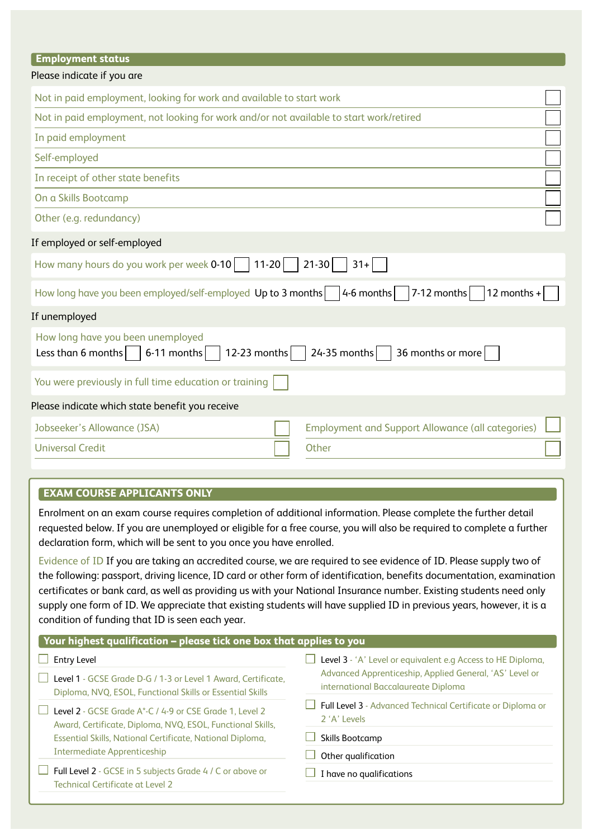| <b>Employment status</b>                                                                                                      |  |
|-------------------------------------------------------------------------------------------------------------------------------|--|
| Please indicate if you are                                                                                                    |  |
| Not in paid employment, looking for work and available to start work                                                          |  |
| Not in paid employment, not looking for work and/or not available to start work/retired                                       |  |
| In paid employment                                                                                                            |  |
| Self-employed                                                                                                                 |  |
| In receipt of other state benefits                                                                                            |  |
| On a Skills Bootcamp                                                                                                          |  |
| Other (e.g. redundancy)                                                                                                       |  |
| If employed or self-employed                                                                                                  |  |
| How many hours do you work per week 0-10<br>$11 - 20$<br>$21 - 30$<br>$31+$                                                   |  |
| $7-12$ months<br>How long have you been employed/self-employed Up to 3 months<br>$4-6$ months $\vert$<br>12 months +          |  |
| If unemployed                                                                                                                 |  |
| How long have you been unemployed<br>$6-11$ months<br>12-23 months<br>24-35 months<br>36 months or more<br>Less than 6 months |  |
| You were previously in full time education or training                                                                        |  |
| Please indicate which state benefit you receive                                                                               |  |
| <b>Employment and Support Allowance (all categories)</b><br>Jobseeker's Allowance (JSA)                                       |  |
| <b>Universal Credit</b><br>Other                                                                                              |  |

### **EXAM COURSE APPLICANTS ONLY**

Enrolment on an exam course requires completion of additional information. Please complete the further detail requested below. If you are unemployed or eligible for a free course, you will also be required to complete a further declaration form, which will be sent to you once you have enrolled.

Evidence of ID If you are taking an accredited course, we are required to see evidence of ID. Please supply two of the following: passport, driving licence, ID card or other form of identification, benefits documentation, examination certificates or bank card, as well as providing us with your National Insurance number. Existing students need only supply one form of ID. We appreciate that existing students will have supplied ID in previous years, however, it is a condition of funding that ID is seen each year.

| Your highest qualification - please tick one box that applies to you                           |  |  |  |  |  |  |
|------------------------------------------------------------------------------------------------|--|--|--|--|--|--|
| Level 3 - 'A' Level or equivalent e.g Access to HE Diploma,                                    |  |  |  |  |  |  |
| Advanced Apprenticeship, Applied General, 'AS' Level or<br>international Baccalaureate Diploma |  |  |  |  |  |  |
| Full Level 3 - Advanced Technical Certificate or Diploma or<br>$2'$ A' Levels                  |  |  |  |  |  |  |
| Skills Bootcamp                                                                                |  |  |  |  |  |  |
| Other qualification                                                                            |  |  |  |  |  |  |
| I have no qualifications                                                                       |  |  |  |  |  |  |
|                                                                                                |  |  |  |  |  |  |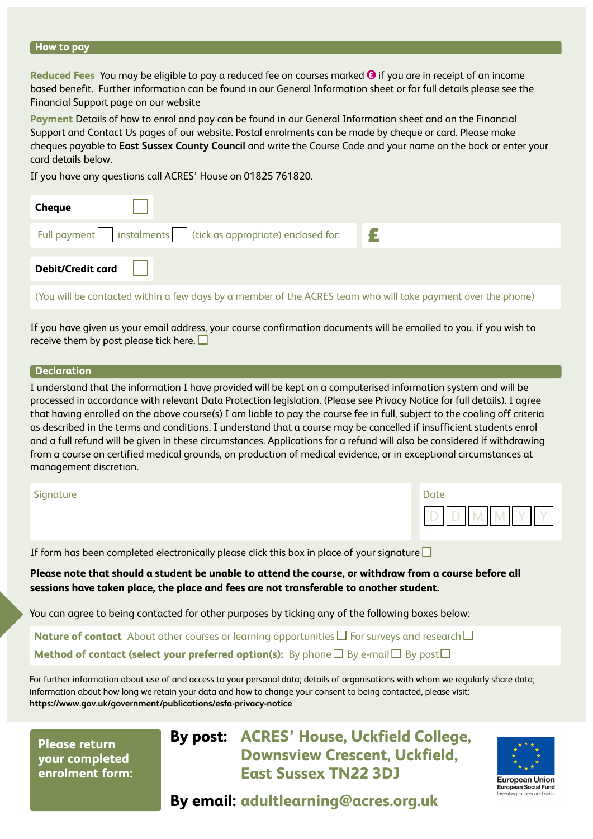### **How to pay**

**Reduced Fees** You may be eligible to pay a reduced fee on courses marked **O** if you are in receipt of an income based benefit. Further information can be found in our General Information sheet or for full details please see the Financial Support page on our website

**Payment** Details of how to enrol and pay can be found in our General Information sheet and on the Financial Support and Contact Us pages of our website. Postal enrolments can be made by cheque or card. Please make cheques payable to **East Sussex County Council** and write the Course Code and your name on the back or enter your card details below.

If you have any questions call ACRES' House on 01825 761820.

| <b>Cheque</b>                                                |  |
|--------------------------------------------------------------|--|
| Full payment instalments (tick as appropriate) enclosed for: |  |
| <b>Debit/Credit card</b>                                     |  |

(You will be contacted within a few days by a member of the ACRES team who will take payment over the phone)

If you have given us your email address, your course confirmation documents will be emailed to you. if you wish to receive them by post please tick here.  $\square$ 

### **Declaration**

I understand that the information I have provided will be kept on a computerised information system and will be processed in accordance with relevant Data Protection legislation. (Please see Privacy Notice for full details). I agree that having enrolled on the above course(s) I am liable to pay the course fee in full, subject to the cooling off criteria as described in the terms and conditions. I understand that a course may be cancelled if insufficient students enrol and a full refund will be given in these circumstances. Applications for a refund will also be considered if withdrawing from a course on certified medical grounds, on production of medical evidence, or in exceptional circumstances at management discretion.

### Signature

| Date |  |  |
|------|--|--|
|      |  |  |

If form has been completed electronically please click this box in place of your signature  $\square$ 

**Please note that should a student be unable to attend the course, or withdraw from a course before all sessions have taken place, the place and fees are not transferable to another student.**

You can agree to being contacted for other purposes by ticking any of the following boxes below:

**Nature of contact** About other courses or learning opportunities  $\Box$  For surveys and research  $\Box$ **Method of contact (select your preferred option(s):** By phone  $\Box$  By e-mail  $\Box$  By post  $\Box$ 

For further information about use of and access to your personal data; details of organisations with whom we regularly share data; information about how long we retain your data and how to change your consent to being contacted, please visit: **<https://www.gov.uk/government/publications/esfa-privacy-notice>**

**Please return your completed enrolment form:** **By post: ACRES' House, Uckfield College, Downsview Crescent, Uckfield, East Sussex TN22 3DJ**



**By email: [adultlearning@acres.org.uk](mailto:adultlearning@acres.org.uk)**